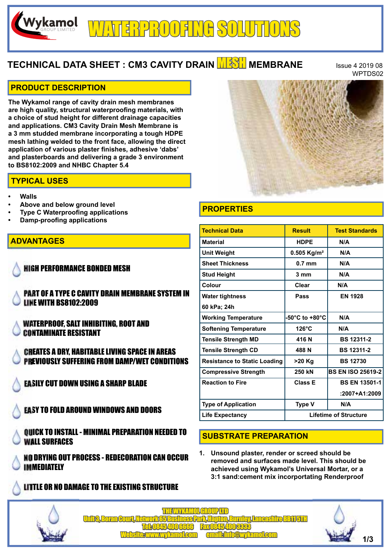# RPROOFING SOLUTION

# **TECHNICAL DATA SHEET : CM3 CAVITY DRAIN <b>MESH** MEMBRANE ISSUE 4 2019 08

WPTDS02

#### **PRODUCT DESCRIPTION**

Wykamol

**The Wykamol range of cavity drain mesh membranes are high quality, structural waterproofing materials, with a choice of stud height for different drainage capacities and applications. CM3 Cavity Drain Mesh Membrane is a 3 mm studded membrane incorporating a tough HDPE mesh lathing welded to the front face, allowing the direct application of various plaster finishes, adhesive 'dabs' and plasterboards and delivering a grade 3 environment to BS8102:2009 and NHBC Chapter 5.4**

#### **TYPICAL USES**

- **Walls**
- **Above and below ground level**
- **Type C Waterproofing applications**
- **Damp-proofing applications**

## **ADVANTAGES**

HIGH PERFORMANCE BONDED MESH

PART OF A TYPE C CAVITY DRAIN MEMBRANE SYSTEM IN LINE WITH BS8102:2009

WATERPROOF, SALT INHIBITING, ROOT AND CONTAMINATE RESISTANT

CREATES A DRY, HABITABLE LIVING SPACE IN AREAS PREVIOUSLY SUFFERING FROM DAMP/WET CONDITIONS

EASILY CUT DOWN USING A SHARP BLADE

EASY TO FOLD AROUND WINDOWS AND DOORS

QUICK TO INSTALL - MINIMAL PREPARATION NEEDED TO WALL SURFACES

NO DRYING OUT PROCESS - REDECORATION CAN OCCUR IMMEDIATELY

# LITTLE OR NO DAMAGE TO THE EXISTING STRUCTURE



# **PROPERTIES**

| <b>Technical Data</b>               | <b>Result</b>                | <b>Test Standards</b>    |
|-------------------------------------|------------------------------|--------------------------|
| <b>Material</b>                     | <b>HDPE</b>                  | N/A                      |
| <b>Unit Weight</b>                  | $0.505$ Kg/m <sup>2</sup>    | N/A                      |
| <b>Sheet Thickness</b>              | $0.7$ mm                     | N/A                      |
| <b>Stud Height</b>                  | 3 mm                         | N/A                      |
| Colour                              | Clear                        | N/A                      |
| <b>Water tightness</b>              | Pass                         | <b>EN 1928</b>           |
| 60 kPa; 24h                         |                              |                          |
| <b>Working Temperature</b>          | -50°C to +80°C               | N/A                      |
| <b>Softening Temperature</b>        | $126^{\circ}$ C              | N/A                      |
| <b>Tensile Strength MD</b>          | 416 N                        | <b>BS 12311-2</b>        |
| <b>Tensile Strength CD</b>          | 488 N                        | <b>BS 12311-2</b>        |
| <b>Resistance to Static Loading</b> | >20 Kg                       | <b>BS 12730</b>          |
| <b>Compressive Strength</b>         | 250 kN                       | <b>BS EN ISO 25619-2</b> |
| <b>Reaction to Fire</b>             | <b>Class E</b>               | <b>BS EN 13501-1</b>     |
|                                     |                              | $:2007 + A1:2009$        |
| <b>Type of Application</b>          | <b>Type V</b>                | N/A                      |
| <b>Life Expectancy</b>              | <b>Lifetime of Structure</b> |                          |

## **SUBSTRATE PREPARATION**

**1. Unsound plaster, render or screed should be removed and surfaces made level. This should be achieved using Wykamol's Universal Mortar, or a 3:1 sand:cement mix incorportating Renderproof** 



THE WYKAMOL GROUP LTD Unit 3, Boran Court, Network 65 Business Park, Hapton, Burnley, Lancashire BB11 5TH Tel: 0845 400 6666 Fax 0845 400 3333 Website: www.wykamol.com email: info@wykamol.com **1/3**

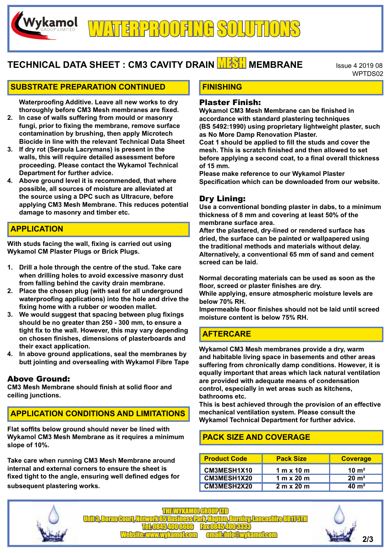# **TECHNICAL DATA SHEET : CM3 CAVITY DRAIN <b>MESH** MEMBRANE ISSue 4 2019 08

WPTDS02

#### **SUBSTRATE PREPARATION CONTINUED**

**Waterproofing Additive. Leave all new works to dry thoroughly before CM3 Mesh membranes are fixed.**

- **2. In case of walls suffering from mould or masonry fungi, prior to fixing the membrane, remove surface contamination by brushing, then apply Microtech Biocide in line with the relevant Technical Data Sheet**
- **3. If dry rot (Serpula Lacrymans) is present in the walls, this will require detailed assessment before proceeding. Please contact the Wykamol Technical Department for further advice.**
- **4. Above ground level it is recommended, that where possible, all sources of moisture are alleviated at the source using a DPC such as Ultracure, before applying CM3 Mesh Membrane. This reduces potential damage to masonry and timber etc.**

## **APPLICATION**

Wykamol

**With studs facing the wall, fixing is carried out using Wykamol CM Plaster Plugs or Brick Plugs.**

- **1. Drill a hole through the centre of the stud. Take care when drilling holes to avoid excessive masonry dust from falling behind the cavity drain membrane.**
- **2. Place the chosen plug (with seal for all underground waterproofing applications) into the hole and drive the fixing home with a rubber or wooden mallet.**
- **3. We would suggest that spacing between plug fixings should be no greater than 250 - 300 mm, to ensure a tight fix to the wall. However, this may vary depending on chosen finishes, dimensions of plasterboards and their exact application.**
- **4. In above ground applications, seal the membranes by butt jointing and oversealing with Wykamol Fibre Tape**

#### Above Ground:

**CM3 Mesh Membrane should finish at solid floor and ceiling junctions.**

## **APPLICATION CONDITIONS AND LIMITATIONS**

**Flat soffits below ground should never be lined with Wykamol CM3 Mesh Membrane as it requires a minimum slope of 10%.**

**Take care when running CM3 Mesh Membrane around internal and external corners to ensure the sheet is fixed tight to the angle, ensuring well defined edges for subsequent plastering works.**

# **FINISHING**

#### Plaster Finish:

**Wykamol CM3 Mesh Membrane can be finished in accordance with standard plastering techniques (BS 5492:1990) using proprietary lightweight plaster, such as No More Damp Renovation Plaster.**

**Coat 1 should be applied to fill the studs and cover the mesh. This is scratch finished and then allowed to set before applying a second coat, to a final overall thickness of 15 mm.**

**Please make reference to our Wykamol Plaster Specification which can be downloaded from our website.**

#### Dry Lining:

**Use a conventional bonding plaster in dabs, to a minimum thickness of 8 mm and covering at least 50% of the membrane surface area.**

**After the plastered, dry-lined or rendered surface has dried, the surface can be painted or wallpapered using the traditional methods and materials without delay. Alternatively, a conventional 65 mm of sand and cement screed can be laid.**

**Normal decorating materials can be used as soon as the floor, screed or plaster finishes are dry.**

**While applying, ensure atmospheric moisture levels are below 70% RH.**

**Impermeable floor finishes should not be laid until screed moisture content is below 75% RH.**

## **AFTERCARE**

**Wykamol CM3 Mesh membranes provide a dry, warm and habitable living space in basements and other areas suffering from chronically damp conditions. However, it is equally important that areas which lack natural ventilation are provided with adequate means of condensation control, especially in wet areas such as kitchens, bathrooms etc.**

**This is best achieved through the provision of an effective mechanical ventilation system. Please consult the Wykamol Technical Department for further advice.**

## **PACK SIZE AND COVERAGE**

| <b>Product Code</b> | <b>Pack Size</b>  | <b>Coverage</b>      |
|---------------------|-------------------|----------------------|
| CM3MESH1X10         | 1 m $\times$ 10 m | $10 \; \mathrm{m}^2$ |
| CM3MESH1X20         | 1 m x 20 m        | $20 \; \text{m}^2$   |
| <b>CM3MESH2X20</b>  | 2 m x 20 m        | $40 \; \mathrm{m}^2$ |



THE WYKAMOL GROUP LTD Unit 3, Boran Court, Network 65 Business Park, Hapton, Burnley, Lancashire BB11 5TH Tel: 0845 400 6666 Fax 0845 400 3333 Website: www.wykamol.com email: info@wykamol.com **2/3**